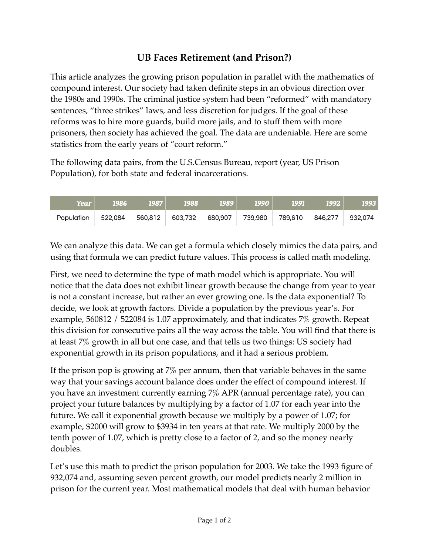## **UB Faces Retirement (and Prison?)**

This article analyzes the growing prison population in parallel with the mathematics of compound interest. Our society had taken definite steps in an obvious direction over the 1980s and 1990s. The criminal justice system had been "reformed" with mandatory sentences, "three strikes" laws, and less discretion for judges. If the goal of these reforms was to hire more guards, build more jails, and to stuff them with more prisoners, then society has achieved the goal. The data are undeniable. Here are some statistics from the early years of "court reform."

The following data pairs, from the U.S.Census Bureau, report (year, US Prison Population), for both state and federal incarcerations.

| <b>Year</b> | <u> 1986  </u> | 1987    | 1988    | 1989    | 1990 | <b>1991</b>                     | 1992 | 1993 |
|-------------|----------------|---------|---------|---------|------|---------------------------------|------|------|
| Population  | 522,084        | 560,812 | 603,732 | 680,907 |      | 739,980 789,610 846,277 932,074 |      |      |

We can analyze this data. We can get a formula which closely mimics the data pairs, and using that formula we can predict future values. This process is called math modeling.

First, we need to determine the type of math model which is appropriate. You will notice that the data does not exhibit linear growth because the change from year to year is not a constant increase, but rather an ever growing one. Is the data exponential? To decide, we look at growth factors. Divide a population by the previous year's. For example, 560812 / 522084 is 1.07 approximately, and that indicates 7% growth. Repeat this division for consecutive pairs all the way across the table. You will find that there is at least 7% growth in all but one case, and that tells us two things: US society had exponential growth in its prison populations, and it had a serious problem.

If the prison pop is growing at 7% per annum, then that variable behaves in the same way that your savings account balance does under the effect of compound interest. If you have an investment currently earning 7% APR (annual percentage rate), you can project your future balances by multiplying by a factor of 1.07 for each year into the future. We call it exponential growth because we multiply by a power of 1.07; for example, \$2000 will grow to \$3934 in ten years at that rate. We multiply 2000 by the tenth power of 1.07, which is pretty close to a factor of 2, and so the money nearly doubles.

Let's use this math to predict the prison population for 2003. We take the 1993 figure of 932,074 and, assuming seven percent growth, our model predicts nearly 2 million in prison for the current year. Most mathematical models that deal with human behavior